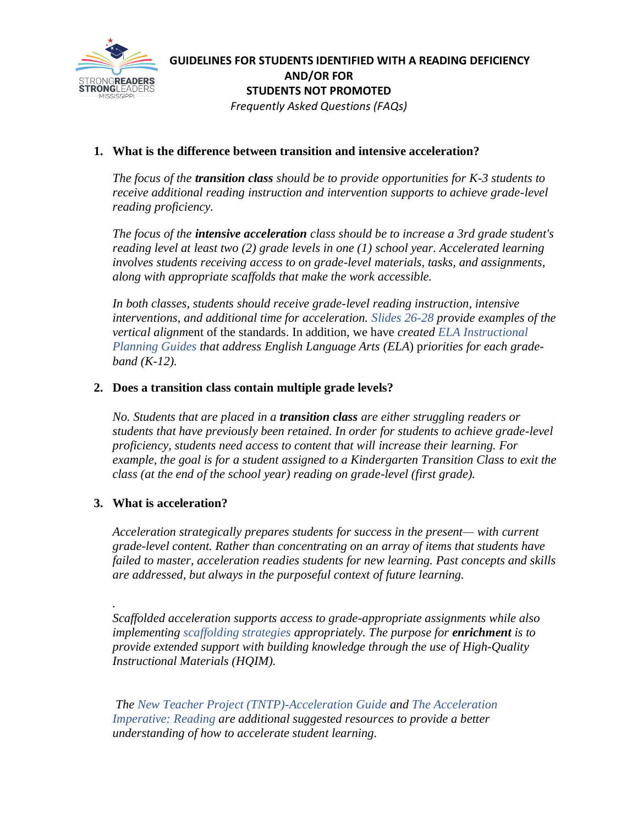

# **GUIDELINES FOR STUDENTS IDENTIFIED WITH A READING DEFICIENCY AND/OR FOR STUDENTS NOT PROMOTED** *Frequently Asked Questions (FAQs)*

# **1. What is the difference between transition and intensive acceleration?**

*The focus of the transition class should be to provide opportunities for K-3 students to receive additional reading instruction and intervention supports to achieve grade-level reading proficiency.*

*The focus of the intensive acceleration class should be to increase a 3rd grade student's reading level at least two (2) grade levels in one (1) school year. Accelerated learning involves students receiving access to on grade-level materials, tasks, and assignments, along with appropriate scaffolds that make the work accessible.* 

*In both classes, students should receive grade-level reading instruction, intensive interventions, and additional time for acceleration. Slides 26-28 provide examples of the vertical alignm*ent of the standards. In addition, we have *created [ELA Instructional](https://mdek12.org/secondaryeducation/englishlanguage/Instructional-Planning-Guides-for-English-Language-Arts-K-12)  [Planning Guides](https://mdek12.org/secondaryeducation/englishlanguage/Instructional-Planning-Guides-for-English-Language-Arts-K-12) that address English Language Arts (ELA*) p*riorities for each gradeband (K-12).*

### **2. Does a transition class contain multiple grade levels?**

*No. Students that are placed in a transition class are either struggling readers or students that have previously been retained. In order for students to achieve grade-level proficiency, students need access to content that will increase their learning. For example, the goal is for a student assigned to a Kindergarten Transition Class to exit the class (at the end of the school year) reading on grade-level (first grade).*

# **3. What is acceleration?**

*Acceleration strategically prepares students for success in the present— with current grade-level content. Rather than concentrating on an array of items that students have failed to master, acceleration readies students for new learning. Past concepts and skills are addressed, but always in the purposeful context of future learning.*

*. Scaffolded acceleration supports access to grade-appropriate assignments while also implementing [scaffolding strategies](https://tntp.org/student-experience-toolkit/view/scaffolding-strategies) appropriately. The purpose for enrichment is to provide extended support with building knowledge through the use of High-Quality Instructional Materials (HQIM).*

 *[The New Teacher Project \(TNTP\)-Acceleration Guide](https://tntp.org/assets/covid-19-toolkit-resources/TNTP-Learning-Acceleration-Guide-Updated-Nov-2020.pdf) and [The Acceleration](https://caocentral.wiki/reading)  [Imperative:](https://caocentral.wiki/reading) Reading are additional suggested resources to provide a better understanding of how to accelerate student learning.*